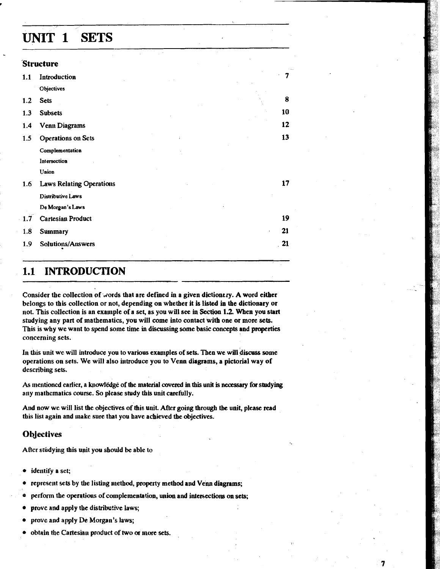# UNIT 1 SETS

| <b>Structure</b> |                                 |  |  |    |
|------------------|---------------------------------|--|--|----|
| 1,1              | Introduction                    |  |  | 7  |
|                  | Objectives                      |  |  |    |
| 1.2              | <b>Sets</b>                     |  |  | 8  |
| 1.3              | <b>Subsets</b>                  |  |  | 10 |
| 1.4              | <b>Venn Diagrams</b>            |  |  | 12 |
| 1.5              | <b>Operations on Sets</b>       |  |  | 13 |
|                  | Complementation                 |  |  |    |
|                  | Intersection                    |  |  |    |
|                  | Union                           |  |  |    |
| 1.6              | <b>Laws Relating Operations</b> |  |  | 17 |
|                  | Distributive Laws               |  |  |    |
|                  | De Morgan's Laws                |  |  |    |
| 1.7              | <b>Cartesian Product</b>        |  |  | 19 |
| 1.8              | <b>Sunmary</b>                  |  |  | 21 |
| 1.9              | Solutions/Answers               |  |  | 21 |

# 1.1 INTRODUCTION

Consider the collection of words that are defined in a given dictionery. A word either belongs to this collection or not, depending on whether it is listed in the dictionary or not. This collection is an example of a set, as you will see in Section 1.2. When you start studying any part of mathematics, you will come into contact with one or more **sets.**  This is why we want to spend some time in discussing some basic concepts and properties concerning sets.

In tbis unit we will introduce you to various examples of sers. Then we will discuss **some**  operations on sets. We will also introduce you to Venn diagrams, a pictorial way of describing sets.

As mentioned earlier, a knowledge of the material covered in this unit is necessary for studying any mathematics course. So please study this unit carefully.

And now we will list the objectives of **tbis** uuit. After going through **tbe** unit, please read this list again and make sure that you have achieved the objectives.

## **Objectives**

After studying this unit you should be able to

- $\bullet$  identify a set;
- $\bullet$  represent sets by the listing method, property method and Venn diagrams;
- perform the operatious of complementation, union and intersections on sets;
- prove and apply the distributive laws;  $\bullet$
- prove and apply De Morgan's laws;
- obtain the Cartesiau product of two or more sets.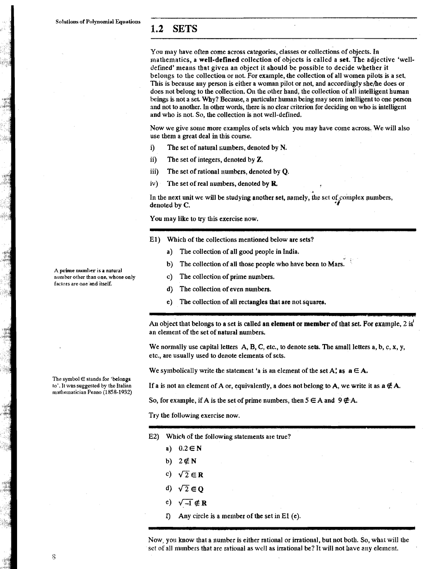# - **1.2 SETS**

You may have often come across categories, classes or collections of objects. In mathematics, a well-defined collection of objects is called a set. The adjective 'welldefined' means tbat given an object it should be possible to decide whether it belongs to the collection or not. For example, the collection of all women pilots is a set, This is because any person is either a woman pilot or not, and accordingly she/he does or does not belong to the collection. On the other hand, the collection of all intelligent human beings is not a set Why? Because, a particular human being may seem intelligent to one person and not to another. In other words, there is no clear criterion for deciding on who is intelligent and who is not. So, the collection is not well-defined.

Now we give sonle more examples of sets which you **may** have come across. We will also use them a great deal in this course.

i) The set of natural numbers, denoted by N.

ii) The set of integers, denoted by Z.

iii) The set of rational numbers, denoted by  $Q$ .

iv) The set of real numbers, denoted by **R**,

In the next unit we will be studying another set, namely, the set of complex numbers, denoted by C.

You may like to try this exercise now.

- El) Which of the collections mentioned below are sets?
	- a) The collection of all good people in India.
	- b) The collection of all those people who have been to Mars.
	- c) The collection of prime numbers.
	- d) The collection of even numbers.
	- e) The collection of all rectangles that are not squares.

An object that belongs to a set is called an **element** or **member** of that set. For example, 2 is an element of the set of natural numbers.

"-. --.

We normally use capital letters  $A, B, C$ , etc., to denote sets. The small letters a, b, c, x, y, etc., are usually used to denote elements of sets.

We symbolically write the statement 'a is an element of the set A', as  $a \in A$ .

If a is not an element of A or, equivalently, a does not belong to A, we write it as  $a \notin A$ .

So, for example, if A is the set of prime numbers, then  $5 \in A$  and  $9 \notin A$ .

Try the following exercise now.

- E2) Which of the following statements are true?
	- a)  $0.2 \in \mathbb{N}$
	- b) 2∉N
	- c)  $\sqrt{2} \in \mathbb{R}$
	- d)  $\sqrt{2} \in \mathbb{Q}$
	- $e)$   $\sqrt{-1} \notin \mathbb{R}$
	- $\hat{I}$  Any circle is a member of the set in El (e).

Now, you know that a number is either rational or irrational, but not both. So, what will the set of all numbers that are rational as well as irrational be? It will not have any element.

A prime number is a natural<br>number other than one, whose only

factors are one and itself.

The symbol  $\in$  stands for 'belongs to'. It was suggested by the Italian mathematician Peano (1858-1932)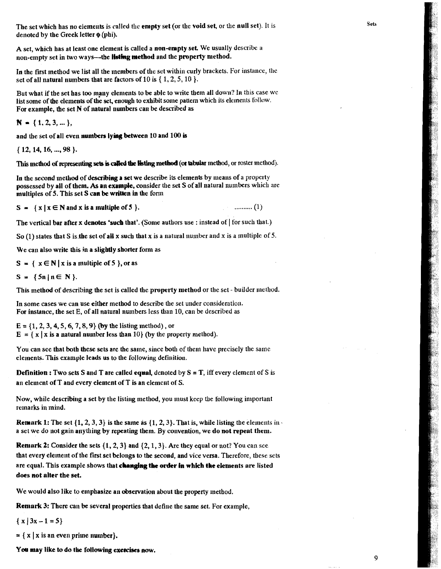The set which has no elements is called **the** empty set (or the void set, or the null set). It is denoted by the Greek letter  $\phi$  (phi).

A set, which has at least one element is called a non-empty set. We usually describe a non-empty set in two ways---the **listing method** and the property method.

In the first method we list all the members of the set within curly brackets. For instance, the set of all natural numbers that are factors of  $10$  is  $\{1, 2, 5, 10\}$ .

But what if the set has too many elements to be able to write them all down? In this case we list some of the elements of the set, enough to exhibit some pattern which its elements follow. For example, the set  $N$  of natural numbers can be described as

 $N = \{1, 2, 3, \dots\}$ 

and the set of all even numbers **lying** between 10 and 100 **is** 

{ 12, 14, 16, ..., 98 ).

This method of representing sets is called the listing method (or tabular method, or roster method).

In the second method of describing a set we describe its elements by means of a property possessed by all of them. **As** an example, consider the set S of all natural numbers which are multiples of 5. This set S can be written in the form

 $S = \{ x \mid x \in N \text{ and } x \text{ is a multiple of } 5 \}.$  $\ldots$  (1)

The vertical bar after **x** denotes 'such that'. (Some authors use : instead of | for such that.)

So (1) states that S is the set of all x such that x is a natural number and x is a multiple of 5.

We can also write this in a slightly shorter form as

 $S = \{ x \in N | x \text{ is a multiple of } 5 \}, \text{or as }$ 

 $S = \{5n | n \in N\}.$ 

This method of describing the set is called the property method or the set - builder method.

In some cases we can use either method to describe the set under consideration. For instance, the set  $E$ , of all natural numbers less than  $10$ , can be described as

 $E = \{1, 2, 3, 4, 5, 6, 7, 8, 9\}$  (by the listing method), or  $E = \{ x | x \text{ is a natural number less than 10} \}$  (by the property method).

You can see that both these sets are the same, since both of them have precisely the same elements. This example leads us to the following detinition.

**Definition : Two sets S and T are called equal, denoted by**  $S = T$ **, iff every element of S is** an element of  $T$  and every element of  $T$  is an element of S.

Now, while describing a set by the listing method, you must keep the following important remarks in mind.

**Remark 1:** The set  $\{1, 2, 3, 3\}$  is the same as  $\{1, 2, 3\}$ . That is, while listing the elements in a set we do not gain anything by repeating them. By convention, we do not repeat them.

**Renark 2:** Consider the sets  $\{1, 2, 3\}$  and  $\{2, 1, 3\}$ . Are they equal or not? You can see that every element of the first set belongs to the second, and vice versa. Therefore, these sets are equal. This example shows that **changing** the **otder** In whkh the elements are listed does not alter the set.

We would also like to emphasize an observation about the property method.

Remark 3: There can be several properties that define the same set. For example,

 $\{x | 3x - 1 = 5\}$ 

 $= \{ x \mid x \text{ is an even prime number} \}.$ 

You may like to do the following exercises now.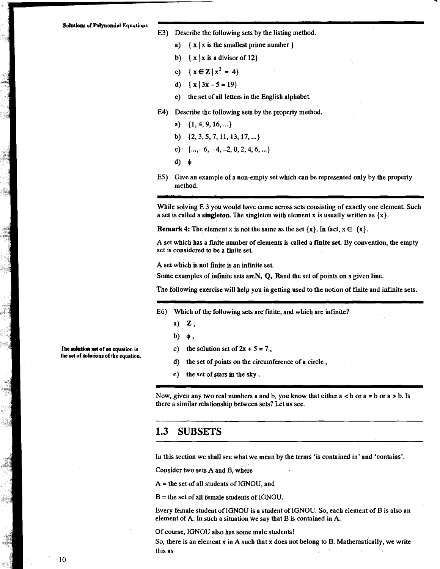#### E3) Describe the following sets by the listing method.

- a)  $\{x \mid x \text{ is the smallest prime number } \}$
- b)  $\{x \mid x \text{ is a divisor of } 12\}$
- c)  $\{x \in \mathbb{Z} \mid x^2 = 4\}$
- d) { $x | 3x 5 = 19$ }
- c) the set of all letters in the English alphabet.
- E4) Describe the following sets by the property method.
	- a)  $\{1, 4, 9, 16, ...\}$
	- b)  $\{2, 3, 5, 7, 11, 13, 17, ...\}$
	- c)  $\{..., -6, -4, -2, 0, 2, 4, 6, ...\}$
	- $d)$   $\phi$
- E5) Give an example of a non-empty set which can be represented only by the property method.

While solving E 3 you would have come across sets consisting of exactly one element. Such a set is called a singleton. The singleton with element x is usually written as  $\{x\}$ .

**Remark 4:** The element x is not the same as the set  $\{x\}$ . In fact,  $x \in \{x\}$ .

A set which has a finite number of elements is called a finite set. By convention, the empty set is considered to be a finite set.

A set which is not finite is an infinite set.

Some examples of infinite sets areN, Q, Rand the set of points on a given line.

The following exercise will help you in getting used to the notion of finite and infinite sets.

- E6) Which of the following sets are finite, and which are infinite?
	- $a)$  Z,
	- $b)$   $\phi$ .
	- c) the solution set of  $2x + 5 = 7$ ,
	- the set of points on the circumference of a circle, d)
	- e) the set of stars in the sky.

Now, given any two real numbers a and b, you know that either  $a < b$  or  $a = b$  or  $a > b$ . Is there a similar relationship between sets? Let us see.

# 1.3 SUBSETS

In this section we shall see what we mean by the terms 'is contained in' and 'contains'.

Consider two sets A and B, where

 $A =$  the set of all students of IGNOU, and

 $B =$  the set of all female students of IGNOU.

Every female student of IGNOU is a student of IGNOU. So, each element of B is also an element of A. In such a situation we say that B is contained in A.

Of course, IGNOU also has some male students!

So, there is an element x in A such that x does not belong to B. Mathematically, we write this as

The solution set of an equation is the set of solutions of the equation.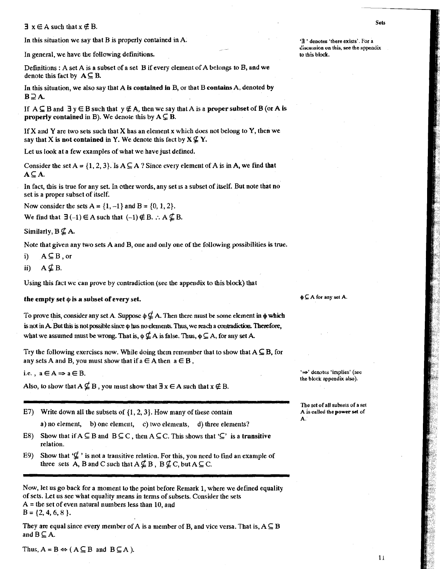$\exists x \in A$  such that  $x \notin B$ .

In this situation we say tbat **B** is properly contained in **A. '3** ' **denotes 'there exists'.** For **<sup>a</sup>**

In general, we have the following definitions.

Definitions : A set **A** is a subset of a set **B** if every element of A **beiongs** to B, and **we**  denote this fact by  $A \subseteq B$ .

In this situation, we also say that **A is contained In B,** or tbat B contains **A,** denoted **by**   $B \supseteq A$ .

If  $A \subseteq B$  and  $\exists y \in B$  such that  $y \notin A$ , then we say that A is a **proper subset** of B (or A is **properly contained** in B). We denote this by  $A \subseteq B$ .

If X and Y are two sets such that X has an element  $x$  which does not belong to Y, then we say that X is not contained in Y. We denote this fact by  $X \nsubseteq Y$ .

Let us **look** at a few examples of what we have just defined.

Consider the set  $A = \{1, 2, 3\}$ . Is  $A \subseteq A$  ? Since every element of A is in A, we find that  $A \subseteq A$ .

In fact, this is true for any set. In other words, any set 1s a subset of itself. But note that no set is a proper subset of itself.

Now consider the sets  $A = \{1, -1\}$  and  $B = \{0, 1, 2\}.$ 

We find that  $\exists (-1) \in A$  such that  $(-1) \notin B$ .  $\therefore A \nsubseteq B$ .

Similarly,  $B \nsubseteq A$ .

Note that given any two sets A and B, one and only one of the following possibilities is true.

i)  $A \subseteq B$ , or

ii)  $A \nsubseteq B$ .

Using this fact we can prove by contradiction (see the appendix to this block) that

# **the empty set**  $\phi$  **is a subset of every set.**  $\phi \subseteq A$  **for any set A.**

To prove this, consider any set A. Suppose  $\phi \nsubseteq A$ . Then there must be some element in  $\phi$  which is not in A. But this is not possible since  $\phi$  has no elements. Thus, we reach a contradiction. Therefore, what we assumed must be wrong. That is,  $\phi \nsubseteq A$  is false. Thus,  $\phi \subseteq A$ , for any set A.

Try the following exercises now. While doing them remember that to show that  $A \subseteq B$ , for any sets A and B, you must show that if  $a \in A$  then  $a \in B$ .

i.e.,  $a \in A \Rightarrow a \in B$ .

Also, to show that  $A \nsubseteq B$ , you must show that  $\exists x \in A$  such that  $x \notin B$ .

**E7)** Write down all the subsets of  $\{1, 2, 3\}$ . How many of these contain

a) no element, b) one element, c) two elements, d) three elements?

- E8) Show that if  $A \subseteq B$  and  $B \subseteq C$ , then  $A \subseteq C$ . This shows that ' $\subseteq$ ' is a **transitive** relation.
- E9) Show that  $\mathcal{L}'$  is not a transitive relation. For this, you need to find an example of three sets A, B and C such that  $A \nsubseteq B$ ,  $B \nsubseteq C$ , but  $A \subseteq C$ .

Now, let us go back for a moment to the point before Remark 1, where we defined equality of sets. Let us see what equality means in terms of subsets, Consider the sets  $A =$  the set of even natural numbers less than 10, and  $B = \{2, 4, 6, 8\}.$ 

They are equal since every member of A is a member of B, and vice versa. That is,  $A \subseteq B$ and  $B \subseteq A$ .

'-' **denotes 'iniplies' (see the block appendix also).** 

**The set** of all **subsels** of a **set A.** 

discussion on this, see the appendix to this block.

Thus,  $A = B \Leftrightarrow (A \subseteq B \text{ and } B \subseteq A)$ .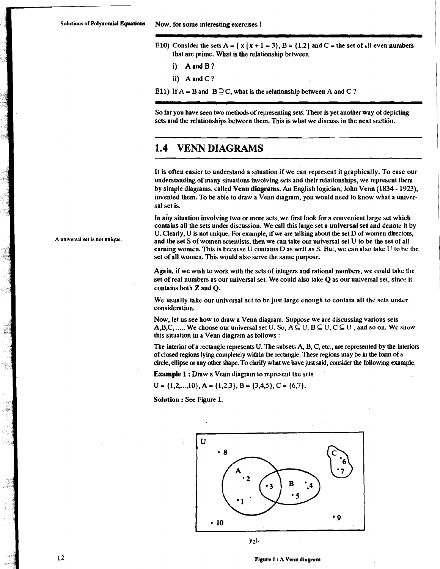- E10) Consider the sets  $A = \{x \mid x + 1 = 3\}$ ,  $B = \{1,2\}$  and  $C =$  the set of all even numbers that are prime. What is the relationship between
	- i) A and B?
	- ii) A and C ?

E11) If  $A = B$  and  $B \supseteq C$ , what is the relationship between A and C?

So far you have seen two methods of representing sets. There is yet another way of depicting sets and the relationships between them. This is what we discuss in the next section.

# **1.4 VENN DIAGRAMS**

It is often easier to understand a situation if we can represent it graphically. To ease our understanding of many situations involving sets and their relationships, we represent them by simple diagrams, called Venn diagrams. An English logician, John Venn (1834 - 1923). invented them. To be able to draw a Venn diagram, you would need to know what a universal set is.

In any situation involving two or more sets, we first look for a convenient large set which contains all the sets under discussion. We call this large set a universal set and denote it by U. Clearly, **U** is not unique. For example, if we are talking about the set D of women directors, **A universal set is not unique.** and the set S of women scientists, then we can take our universal set **U** to be the set of all earning women. This is because U contains D as well as S. But, we can also take U to be the set of all women. This would also serve the same purpose.

> Again, if we wish to work with the sets of integers and rational numbers, we could take the set of real numbers as our universal set. We could also take Q as our universal set, since it contains both Z and Q.

We usually take our universal set to be just large enough to contain all the sets under consideration.

Now, let us see how to draw a Venn diagram. Suppose we are discussing various sets A, B, C, ..... We choose our universal set U. So,  $A \subseteq U$ ,  $B \subseteq U$ ,  $C \subseteq U$ , and so on. We show this situation in a Venn diagram as follows :

The interior of a rectangle represents U. The subsets  $A$ ,  $B$ ,  $C$ , etc., are represented by the interiors of closed regions lying completely within the rectangle. These regions may be in the form of a circle, ellipse or any other shape. To clarify what we have just said, consider the following example.

Example 1 : Draw a Venn diagram to represent the sets

 $U = \{1, 2, ..., 10\}, A = \{1, 2, 3\}, B = \{3, 4, 5\}, C = \{6, 7\}.$ 

Solution : See Figure 1.



 $y_2$ ).

 $12$ 

**Figure 1 I A Vcnu dingran1**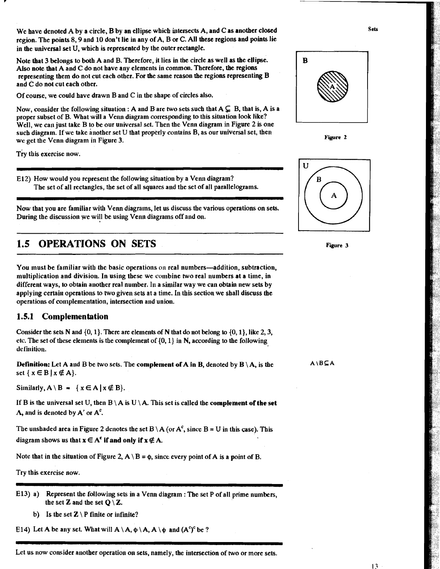We have denoted A by a circle, B by an ellipse which intersects A, and C as another closed region. The points 8,9 and 10 don't lie in any of A, B or C. All these regions and points lie in the universal set U, which is represented by the outer rectangle.

Note that 3 belongs to both A and B. Therefore, it lies in the circle as well as the ellipse. Also note that A and C do not have any elements in common. Therefore, **tbe** regions representing them do not cut each other. For the same reason the regions representing **B**  and C do not cut each other.

Of course, we could have drawn B and C in the shape of circles also.

Now, consider the following situation : A and B are two sets such that  $A \subsetneq B$ , that is, A is a proper subset of B. What will a Venn diagram corresponding to this situation look like? Well, we can just take B to be our universal set. Then the Venn diagram in Figure 2 is one such diagram. If we take another set  $U$  that properly contains  $B$ , as our universal set, then we get the Venn diagram in Figure 3. **Figure <sup>2</sup>**

Try this exercise now.

E12) How would you represent the following situation by a Venn diagram? The set of all rectangles, the set of all squares and the set of all parallelograms.

Now that you are familiar with Venn diagrams, let us discuss the various operations on sets. During the discussion we will be using Venn diagrams off and on.

# **1.5 OPERATIONS ON SETS** Figure 3

You must be familiar with the basic operations on real numbers—addition, subtraction, multiplication and division. In using these we combine two real numbers at a time, in different ways, to obtain another real number. In a similar way we can obtain new sets by applying certain operations to two given sets at a time. In this section we shall discuss the operations of complementation, intersection and union.

## **1.5.1 Complementation**

Consider the sets N and  $\{0, 1\}$ . There are elements of N that do not belong to  $\{0, 1\}$ , like 2, 3, etc. The set of these elements is the complement of  $\{0, 1\}$  in N, according to the following definition.

**Definition:** Let A and B be two sets. The **complement of A in B**, denoted by  $B \setminus A$ , is the  $A \setminus B \subseteq A$ set  $\{x \in B | x \notin A\}$ .

Similarly,  $A \setminus B = \{ x \in A \mid x \notin B \}.$ 

If B is the universal set U, then  $B \setminus A$  is  $U \setminus A$ . This set is called the **complement of the set**  $\Lambda$ , and is denoted by  $A'$  or  $A^c$ .

The unshaded area in Figure 2 denotes the set B \ A (or  $A<sup>c</sup>$ , since B = U in this case). This diagram shows us that  $x \in A^c$  if and only if  $x \notin A$ .

Note that in the situation of Figure 2,  $A \setminus B = \phi$ , since every point of A is a point of B.

Try this exercise now.

- -. E13) a) Represent the following sets in a Venn diagram : The set P of all prime numbers, the set **Z** and the set  $Q \setminus Z$ .
	- b) Is the set  $\mathbb{Z} \setminus P$  finite or infinite?

E14) Let A be any set. What will  $A \setminus A$ ,  $\phi \setminus A$ ,  $A \setminus \phi$  and  $(A^c)^c$  be ?

- - -- - - - Let us now consider another operation on sets, namely, the intersection of two or more sets.



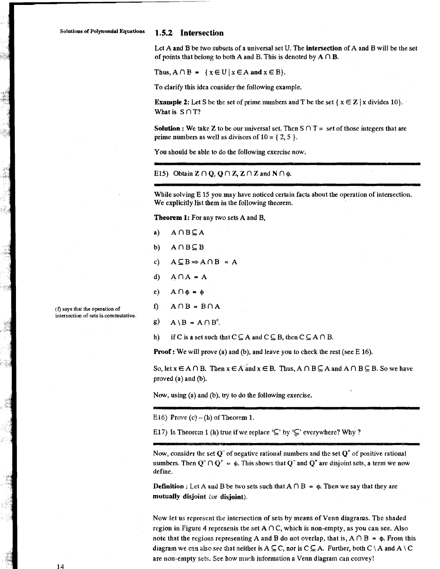#### 1.5.2 Intersection

Let A and B be two subsets of a universal set U. The intersection of A and B will be the set of points that belong to both A and B. This is denoted by  $A \cap B$ .

Thus,  $A \cap B = \{x \in U | x \in A \text{ and } x \in B\}.$ 

To clarify this idea consider the following example.

**Example 2:** Let S be the set of prime numbers and T be the set  $\{x \in \mathbb{Z} \mid x \text{ divides } 10\}$ . What is  $S \cap T$ ?

**Solution :** We take Z to be our universal set. Then  $S \cap T =$  set of those integers that are prime numbers as well as divisors of  $10 = \{2, 5\}$ .

You should be able to do the following exercise now.

E15) Obtain  $\mathbb{Z} \cap \mathbb{Q}$ ,  $\mathbb{Q} \cap \mathbb{Z}$ ,  $\mathbb{Z} \cap \mathbb{Z}$  and  $\mathbb{N} \cap \phi$ .

While solving E 15 you may have noticed certain facts about the operation of intersection. We explicitly list them in the following theorem.

Theorem 1: For any two sets A and B,

- $a)$  $A \cap B \subseteq A$
- $b)$  $A \cap B \subseteq B$
- $c)$  $A \subseteq B \Rightarrow A \cap B = A$
- $\mathbf{d}$  $A \cap A = A$
- $e)$  $A \cap \Phi = \Phi$

 $A \cap B = B \cap A$  $\mathbf{f}$ 

(f) says that the operation of intersection of sets is commutative.

- g)  $A \setminus B = A \cap B^c$ .
- if C is a set such that  $C \subseteq A$  and  $C \subseteq B$ , then  $C \subseteq A \cap B$ .  $h)$

**Proof:** We will prove (a) and (b), and leave you to check the rest (see  $E$  16).

So, let  $x \in A \cap B$ . Then  $x \in A$  and  $x \in B$ . Thus,  $A \cap B \subseteq A$  and  $A \cap B \subseteq B$ . So we have proved (a) and (b).

Now, using (a) and (b), try to do the following exercise.

E16) Prove  $(c) - (h)$  of Theorem 1.

E17) Is Theorem 1 (h) true if we replace ' $\subseteq$ ' by ' $\subseteq$ ' everywhere? Why ?

Now, consider the set  $O^{\dagger}$  of negative rational numbers and the set  $O^{\dagger}$  of positive rational numbers. Then  $Q^{\dagger} \cap Q^{\dagger} = \phi$ . This shows that  $Q^{\dagger}$  and  $Q^{\dagger}$  are disjoint sets, a term we now define.

**Definition**: Let A and B be two sets such that  $A \cap B = \phi$ . Then we say that they are mutually disjoint (or disjoint).

Now let us represent the intersection of sets by means of Venn diagrams. The shaded region in Figure 4 represents the set  $A \cap C$ , which is non-empty, as you can see. Also note that the regions representing A and B do not overlap, that is,  $A \cap B = \phi$ . From this diagram we can also see that neither is  $A \subseteq C$ , nor is  $C \subseteq A$ . Further, both  $C \setminus A$  and  $A \setminus C$ are non-empty sets. See how much information a Venn diagram can convey!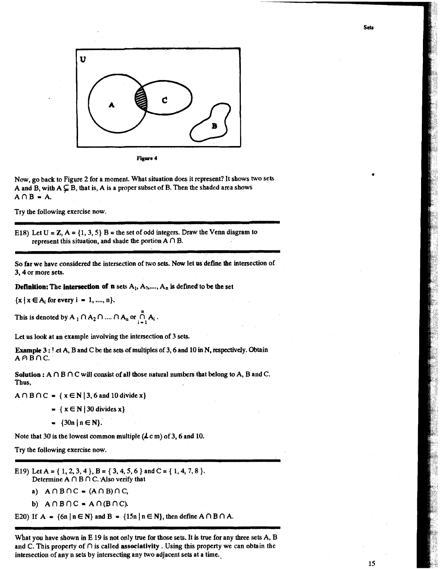

Now, go back to Figure 2 for a moment. What situation does it represent? It shows two sets A and B, with  $A \subseteq B$ , that is, A is a proper subset of B. Then the shaded area shows  $A \cap B = A$ .

Try the following exercise now.

E18) Let  $U = Z$ ,  $A = \{1, 3, 5\}$  B = the set of odd integers. Draw the Venn diagram to represent this situation, and shade the portion  $A \cap B$ .

So far we have considered the intersection of two sets. Now let us define the intersection of 3,4 or more sets.

**Definition:** The **intersection of <b>n** sets  $A_1$ ,  $A_2$ ,...,  $A_n$  is defined to be the set

 ${x \mid x \in A$ , for every  $i = 1, ..., n$ .

This is denoted by  $A_1 \cap A_2 \cap ... \cap A_n$  or  $\bigcap_{i=1}^n A_i$ .

Let us look at an example involving the intersection of 3 sets.

**Example** <sup>3</sup>: **1** et **A,** B and C be the sets of multiples of 3.6 and 10 in N, respectively. Obtain  $A \cap B \cap C$ .

**Solution :**  $A \cap B \cap C$  will consist of all those natural numbers that belong to  $A$ ,  $B$  and  $C$ . Thus,

 $A \cap B \cap C = \{x \in N | 3, 6 \text{ and } 10 \text{ divide } x\}$ 

- $= \{ x \in N \mid 30 \text{ divides } x \}$
- $= \{30n \mid n \in N\}.$

Note that 30 is the lowest common multiple  $(*L* c m)$  of 3, 6 and 10.

Try the following exercise now.

E19) Let A = {1, 2, 3, 4}, B = {3, 4, 5, 6} and C = {1, 4, 7, 8}. Determine  $A \cap B \cap C$ . Also verify that

- a)  $A \cap B \cap C = (A \cap B) \cap C$
- **b)**  $A \cap B \cap C = A \cap (B \cap C)$ .

E20) If  $A = \{6n \mid n \in \mathbb{N}\}\$ and  $B = \{15n \mid n \in \mathbb{N}\}\$ , then define  $A \cap B \cap A$ . - -- --

What you have shown in E 19 is not only true for those sets. It is true for any three sets A, B and C. This property of  $\cap$  is called associativity . Using this property we can obtain the intersection of any n sets by intersecting any two adjacent sets at a time.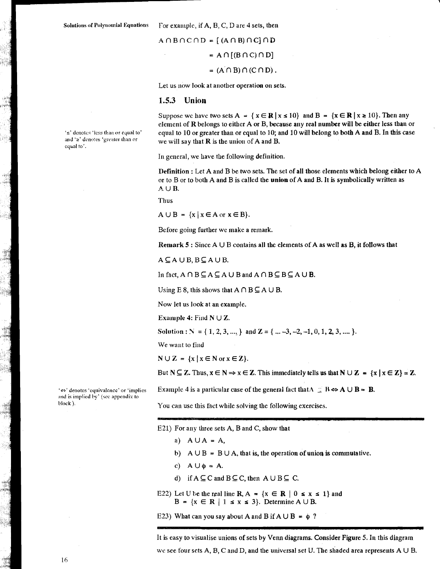For example, if A, B, C, D are 4 sets, then

$$
A \cap B \cap C \cap D = [(A \cap B) \cap C] \cap D
$$
  
= 
$$
A \cap [(B \cap C) \cap D]
$$
  
= 
$$
(A \cap B) \cap (C \cap D).
$$

Let us now look at another operation on sets.

#### 1.5.3 Union

's' denotes 'less than or equal to' and '2' denotes 'greater than or equal to'.

Suppose we have two sets  $A = \{x \in \mathbb{R} \mid x \le 10\}$  and  $B = \{x \in \mathbb{R} \mid x \ge 10\}$ . Then any element of R belongs to either A or B, because any real number will be either less than or equal to 10 or greater than or equal to 10; and 10 will belong to both A and B. In this case we will say that  $R$  is the union of  $A$  and  $B$ .

In general, we have the following definition.

Definition : Let A and B be two sets. The set of all those elements which belong either to A or to B or to both A and B is called the union of A and B. It is symbolically written as  $A \cup B.$ 

**Thus** 

 $A \cup B = \{x \mid x \in A \text{ or } x \in B\}.$ 

Before going further we make a remark.

Remark 5: Since  $A \cup B$  contains all the elements of A as well as B, it follows that

 $A \subseteq A \cup B$ ,  $B \subseteq A \cup B$ .

In fact,  $A \cap B \subseteq A \subseteq A \cup B$  and  $A \cap B \subseteq B \subseteq A \cup B$ .

Using E 8, this shows that  $A \cap B \subseteq A \cup B$ .

Now let us look at an example.

Example 4: Find  $N \cup Z$ .

Solution :  $N = \{1, 2, 3, ..., \}$  and  $\mathbb{Z} = \{...,-3,-2,-1,0,1,2,3,....\}$ .

We want to find

 $N \cup Z = \{x \mid x \in N \text{ or } x \in Z\}.$ 

But  $N \subseteq Z$ . Thus,  $x \in N \Rightarrow x \in Z$ . This immediately tells us that  $N \cup Z = \{x \mid x \in Z\} = Z$ .

Example 4 is a particular case of the general fact that  $\Lambda \subseteq B \Leftrightarrow A \cup B = B$ .

You can use this fact while solving the following exercises.

E21) For any three sets A, B and C, show that

- a)  $A \cup A = A$ ,
- b)  $A \cup B = B \cup A$ , that is, the operation of union is commutative.
- c)  $A \cup \phi = A$ .
- d) if  $A \subseteq C$  and  $B \subseteq C$ , then  $A \cup B \subseteq C$ .
- E22) Let U be the real line R, A =  $\{x \in \mathbb{R} \mid 0 \le x \le 1\}$  and  $B = \{x \in \mathbb{R} \mid 1 \le x \le 3\}$ . Determine  $A \cup B$ .

E23) What can you say about A and B if  $A \cup B = \phi$ ?

It is easy to visualise unions of sets by Venn diagrams. Consider Figure 5. In this diagram we see four sets A, B, C and D, and the universal set U. The shaded area represents  $A \cup B$ .

'<>' denotes 'equivalence' or 'implies and is implied by' (see appendix to block).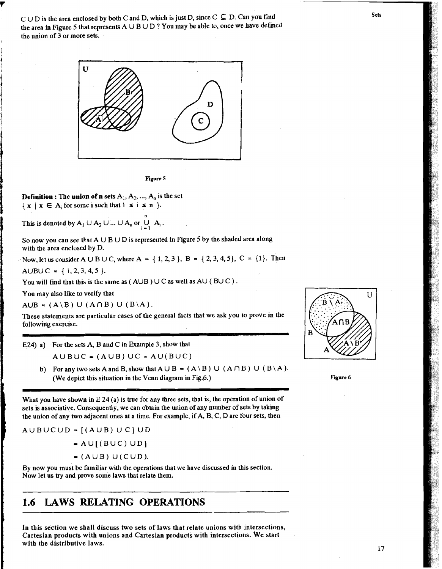$C \cup D$  is the area enclosed by both C and D, which is just D, since  $C \subseteq D$ . Can you find the area in Figure 5 that represents A U B U **D** ? You may he able to, once **we** have defined the union of 3 or more sets.





**Definition :** The **union of n sets**  $A_1$ ,  $A_2$ , ...,  $A_n$  is the set  $\{ x \mid x \in A_i \text{ for some } i \text{ such that } 1 \le i \le n \}.$ 

This is denoted by  $A_1 \cup A_2 \cup ... \cup A_n$  or  $\bigcup_{i=1}^n A_i$ .

So now you can see that  $A \cup B \cup D$  is represented in Figure 5 by the shaded area along with the area enclosed by D.

Now, let us consider A  $\cup$  B  $\cup$  C, where A = {1, 2, 3}, B = {2, 3, 4, 5}, C = {1}. Then

AUBU C =  $\{1, 2, 3, 4, 5\}$ .

You will find that this is the same as  $($  AUB  $)$  U C as well as AU  $($  BU C  $)$ .

You may also like to verify that

 $A \cup B = (A \setminus B) \cup (A \cap B) \cup (B \setminus A).$ 

Tbese statements are particular cases of the general facts that we ask you to prove in the following exercise.

E24) a) For the sets A, B and C in Example 3, show that

 $A \cup B \cup C = (A \cup B) \cup C = A \cup (B \cup C)$ 

b) For any two sets A and B, show that  $A \cup B = (A \setminus B) \cup (A \cap B) \cup (B \setminus A)$ . (We depict this situation in the Venn diagram in Fig.6.)

What you have shown in E 24 (a) is true for any three sets, that is, the operation of union of sets is associative. Consequently, we can obtain the union of any number of sets by taking the union of any two adjacent ones at a time. Foe example, if A, B, C, D are four sets, then

 $A \cup B \cup C \cup D = [(A \cup B) \cup C] \cup D$ 

 $= A \cup [(B \cup C) \cup D]$ 

 $=(A \cup B) \cup (C \cup D).$ 

By now you must be familiar with the operations that we have discussed in this section. Now let us try and prove some laws that relate them.

# **1.6 LAWS RELATING OPERATIONS**

In tbis section we shall discuss two sets of laws that relate unions with intersections, Cartesian products with unions and Cartesian products with intersections. we start with the distributive laws.





**Sets**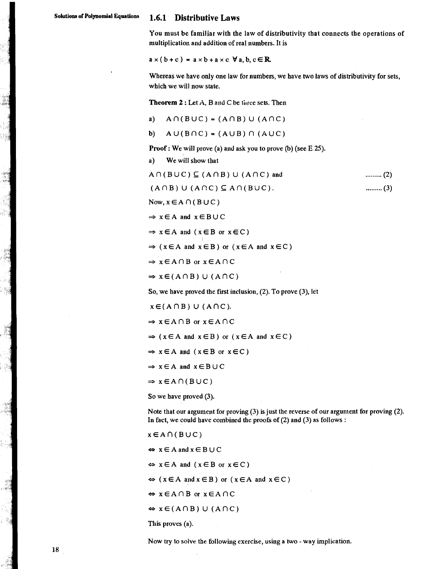You must be familiar with the law of distributivity that connects the operations of multiplication and addition of real numbers. It is

 $a \times (b+c) = a \times b + a \times c \ \forall a, b, c \in \mathbb{R}$ 

Whereas we have only one law for numbers, we have two laws of distributivity for sets, which we will now state.

Theorem 2 : Let A, B and C be time sets. Then

- a)  $A \cap (B \cup C) = (A \cap B) \cup (A \cap C)$
- b)  $A \cup (B \cap C) = (A \cup B) \cap (A \cup C)$

**Proof:** We will prove (a) and ask you to prove (b) (see  $E$  25).

a) We will show that

 $A \cap (B \cup C) \subseteq (A \cap B) \cup (A \cap C)$  and 

 $(A \cap B) \cup (A \cap C) \subseteq A \cap (B \cup C)$ .

Now,  $x \in A \cap (B \cup C)$ 

 $\Rightarrow$  xEA and xEBUC

 $\Rightarrow$  **x** $\in$ A and (**x** $\in$ B or **x** $\in$ C)

 $\Rightarrow$  (xEA and xEB) or (xEA and xEC)

 $\Rightarrow$  x  $\in$  A  $\cap$  B or  $x \in$  A  $\cap$  C

 $\Rightarrow$  x  $\in$  (A  $\cap$  B) U (A  $\cap$  C)

So, we have proved the first inclusion, (2). To prove **(3),** let

 $x \in (A \cap B) \cup (A \cap C)$ .

 $\Rightarrow$   $x \in A \cap B$  or  $x \in A \cap C$ <br>  $\Rightarrow$  ( $x \in A$  and  $x \in B$ ) or ( $x \in A$  and  $x \in C$ )

 $\Rightarrow$  x  $\in$  A and (x  $\in$  B or x  $\in$  C)

 $\Rightarrow$   $x \in A$  and  $x \in B \cup C$ 

 $\Rightarrow$  x  $\in$  A  $\cap$  (BUC)

So we have proved (3).

Note that our argument for proving (3) is just the reverse of our argument for proving (2). In fact, we could have combined the proofs of (2) and (3) as follows :

 $x \in A \cap (B \cup C)$ 

 $\Leftrightarrow$   $x \in A$  and  $x \in B \cup C$ 

 $\Leftrightarrow$   $x \in A$  and  $(x \in B$  or  $x \in C$ )

 $\Leftrightarrow$  ( $x \in A$  and  $x \in B$ ) or ( $x \in A$  and  $x \in C$ )

 $\Leftrightarrow$   $x \in A \cap B$  or  $x \in A \cap C$ 

 $\Leftrightarrow$   $x \in (A \cap B) \cup (A \cap C)$ 

This proves (a).

Now try to solve the following exercise, using a two - way implication.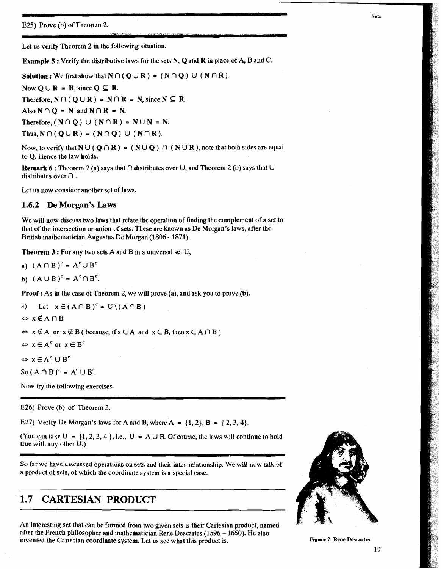**E25)** Prove (b) of Theorem 2.

Let us verify Theorem 2 in the following situation.

**Example 5:** Verify the distributive laws for the sets N, Q and **R** in place of A, B and C.

Solution : We first show that  $N \cap (Q \cup R) = (N \cap Q) \cup (N \cap R)$ .

Now  $O \cup R = R$ , since  $O \subseteq R$ .

Therefore,  $N \cap (Q \cup R) = N \cap R = N$ , since  $N \subseteq R$ .

Also  $N \cap Q = N$  and  $N \cap R = N$ .

Therefore,  $(N \cap Q) \cup (N \cap R) = N \cup N = N$ .

Thus,  $N \cap (Q \cup R) = (N \cap Q) \cup (N \cap R)$ .

Now, to verify that  $N \cup (Q \cap R) = (N \cup Q) \cap (N \cup R)$ , note that both sides are equal to Q. Hence the law holds.

**Remark 6:** Theorem 2 (a) says that  $\cap$  distributes over  $\cup$ , and Theorem 2 (b) says that  $\cup$ distributes over  $\cap$ .

Let us now consider another set of laws,

### **1.6.2 De Morgan's Laws**

We will now discuss two laws that relate the operation of finding the complement of a set to that of the intersection or union of sets. These are known as De Morgan's laws, after the British mathematician Augustus De Morgan (1806 - 1871).

**Theorem 3:** For any two sets A and B in a universal set  $U$ ,

- a)  $(A \cap B)^c = A^c \cup B^c$
- **b)**  $(A \cup B)^c = A^c \cap B^c$ .

**Proof :** As in the case of Theorem 2, we will prove (a), and ask you to prove (b).

a) Let  $x \in (A \cap B)^c = U \setminus (A \cap B)$ 

 $\Leftrightarrow$   $x \notin A \cap B$ 

 $\Leftrightarrow$  **x**  $\notin$  A or **x**  $\notin$  B ( because, if **x**  $\in$  A and **x**  $\in$  B, then **x**  $\in$  A  $\cap$  B )

 $\Leftrightarrow$   $x \in A^c$  or  $x \in B^c$ 

 $\Leftrightarrow$   $x \in A^c \cup B^c$ 

So  $(A \cap B)^c = A^c \cup B^c$ .

Now try the following exercises.

E26) Prove **(h)** of Theorem 3.

E27) Verify De Morgan's laws for A and B, where  $A = \{1, 2\}, B = \{2, 3, 4\}.$ 

(You can take  $U = \{1, 2, 3, 4\}$ , i.e.,  $U = A \cup B$ . Of course, the laws will continue to hold true with any other  $\hat{U}$ .)

So **far** we have discussed operations on sets and their inter-relationship. We will now talk of a product of sets, of which the coordinate system is a special case.

# **1.7 CARTESIAN PRODUCT**

An interesting set that can be formed from two given sets is their Cartesian product, named after the French philosopher and mathematician Rene Descartes (1596 - 1650). He also invented the Cartesian coordinate system. Let us see what this product is. **Figure 7: Rene Descartes** 

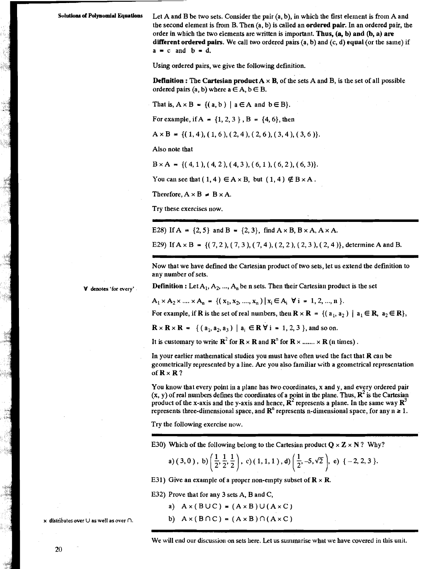Let A and B be two sets. Consider the pair  $(a, b)$ , in which the first element is from A and the second element is from B. Then  $(a, b)$  is called an **ordered pair**. In an ordered pair, the order in which the two elements are written is important. Thus, (a, b) and (b, a) are different ordered pairs. We call two ordered pairs  $(a, b)$  and  $(c, d)$  equal (or the same) if  $a = c$  and  $b = d$ .

**Using** ordered pairs, we give the following definition.

**Definition :** The Cartesian product  $A \times B$ , of the sets A and B, is the set of all possible ordered pairs  $(a, b)$  where  $a \in A$ ,  $b \in B$ .

That is,  $A \times B = \{(a, b) | a \in A \text{ and } b \in B\}.$ 

For example, if  $A = \{1, 2, 3\}$ ,  $B = \{4, 6\}$ , then

 $A \times B = \{(1,4), (1,6), (2,4), (2,6), (3,4), (3,6) \}.$ 

Also note that

 $B \times A = \{(4, 1), (4, 2), (4, 3), (6, 1), (6, 2), (6, 3)\}.$ 

You can see that  $(1,4) \in A \times B$ , but  $(1,4) \notin B \times A$ .

Therefore,  $A \times B \neq B \times A$ .

Try these exercises now.

E28) If  $A = \{2, 5\}$  and  $B = \{2, 3\}$ , find  $A \times B$ ,  $B \times A$ ,  $A \times A$ .

E29) If  $A \times B = \{(7, 2), (7, 3), (7, 4), (2, 2), (2, 3), (2, 4)\}$ , determine A and B.

Now that we have defined the Cartesian product of two sets, let us extend the definition to any number of sets.

denotes 'for every'

 $A_1 \times A_2 \times ... \times A_n = \{ (x_1, x_2, ..., x_n) | x_i \in A_i \ \forall i = 1, 2, ..., n \}.$ 

**Definition :** Let  $A_1, A_2, ..., A_n$  be n sets. Then their Cartesian product is the set

For example, if **R** is the set of real numbers, then  $\mathbf{R} \times \mathbf{R} = \{(\mathbf{a}_1, \mathbf{a}_2) | \mathbf{a}_1 \in \mathbf{R}, \mathbf{a}_2 \in \mathbf{R}\},\$ 

 $\mathbf{R} \times \mathbf{R} \times \mathbf{R} = \{ (a_1, a_2, a_3) | a_i \in \mathbf{R} \ \forall i = 1, 2, 3 \}$ , and so on.

It is customary to write  $\mathbb{R}^2$  for  $\mathbb{R} \times \mathbb{R}$  and  $\mathbb{R}^n$  for  $\mathbb{R} \times \dots \times \mathbb{R}$  (n times).

In your earlier mathematical studies you must have often used the fact that  **can be** geometrically represented by a line. Are you also familiar with a geometrical representation of  $\mathbf{R} \times \mathbf{R}$ ?

You know that every point in a plane has two coordinates, x and y, and every ordered pair  $(x, y)$  of real numbers defines the coordinates of a point in the plane. Thus,  $\mathbb{R}^2$  is the Cartesian product of the x-axis and the y-axis and hence,  $\mathbb{R}^2$  represents a plane. In the same way  $\mathbb{R}^3$ represents three-dimensional space, and  $\mathbb{R}^n$  represents n-dimensional space, for any  $n \geq 1$ .

Try the following exercise now.

E30) Which of the following belong to the Cartesian product  $Q \times Z \times N$ ? Why?

a) 
$$
(3,0)
$$
, b)  $\left(\frac{1}{2},\frac{1}{2},\frac{1}{2}\right)$ , c)  $(1,1,1)$ , d)  $\left(\frac{1}{2},-5,\sqrt{2}\right)$ , e)  $\{-2,2,3\}$ .

E31) Give an example of a proper non-empty subset of  $\mathbb{R} \times \mathbb{R}$ .

E32) Prove that for any 3 sets A, B and C,

a)  $A \times (B \cup C) = (A \times B) \cup (A \times C)$ 

b)  $A \times (B \cap C) = (A \times B) \cap (A \times C)$ 

We will end our discussion on sets here. Let us summarise what we have covered in this unit.

20

x distributes over  $\cup$  as well as over  $\cap$ .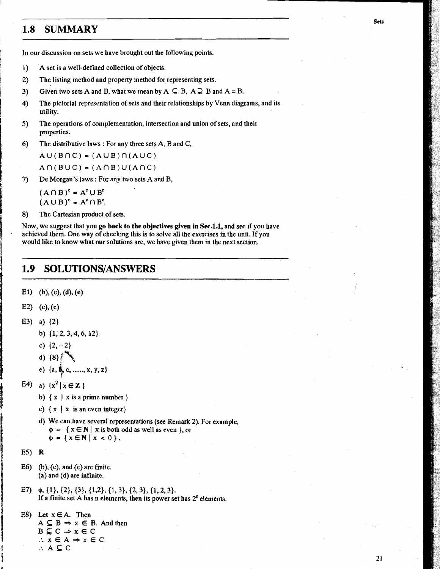# **1.8 SUMMARY**

In our discussion on sets we have brought out the following points.

- 1) A set is a well-defined collection of objects.
- 2) The listing method and property method for representing sets.
- 3) Given two sets A and B, what we mean by  $A \subseteq B$ ,  $A \supsetneq B$  and  $A = B$ .
- 4) The pictorial representation of sets and their relationships by Venn diagrams, and its utility.
- 5) The operations of complementation, intersection and union of sets, and their properties.
- 6) The distributive laws : For any three sets  $A$ ,  $B$  and  $C$ ,

 $A \cup (B \cap C) = (A \cup B) \cap (A \cup C)$ 

 $A \cap (B \cup C) = (A \cap B) \cup (A \cap C)$ 

**7)** De Morgan's laws : For any two sets A and B,

 $(A \cap B)^c = A^c \cup B^c$  $(A \cup B)^c = A^c \cap B^c$ .

```
8) The Cartesian product of sets.
```
Now, we suggest that you **go back to the objectives given in Sec.l.1,** and see if you have achieved them. One way of checking this is to solve all the exercises in the unit. If you would like to know what our solutions are, we have given them in the next section.

#### 1.9 **SOLUTIONS/ANSWERS**

E1) (b), (c), (d), (e)

E2) (c), (e)

- E3) a)  $\{2\}$ 
	- b)  $\{1, 2, 3, 4, 6, 12\}$
	- c)  $\{2,-2\}$

d) 
$$
{8}
$$

- e) {a,  $\psi$ , c, ......, x, y, z}
- E4) a)  $\{x^2 | x \in \mathbb{Z}\}\$ 
	- b)  $\{x \mid x \text{ is a prime number } \}$
	- c)  $\{ x \mid x \text{ is an even integer} \}$
	- d) We can have several representations (see Remark 2). For example,  $\phi = \{ x \in \mathbb{N} \mid x \text{ is both odd as well as even } \},$  or  $\phi = \{x \in \mathbb{N} \mid x < 0\}.$

 $E5)$  R

- $E6)$  (b), (c), and (e) are finite. (a) and (d) are infinite.
- E7)  $\phi$ ,  $\{1\}$ ,  $\{2\}$ ,  $\{3\}$ ,  $\{1,2\}$ ,  $\{1,3\}$ ,  $\{2,3\}$ ,  $\{1,2,3\}$ . If a finite set A has  $n$  elements, then its power set has  $2^n$  elements.

```
E8) Let x \in A. Then
A \subseteq B \Rightarrow x \in B. And then
B \subseteq C \Rightarrow x \in C\therefore x \in A \Rightarrow x \in C:. A E C
```
Sets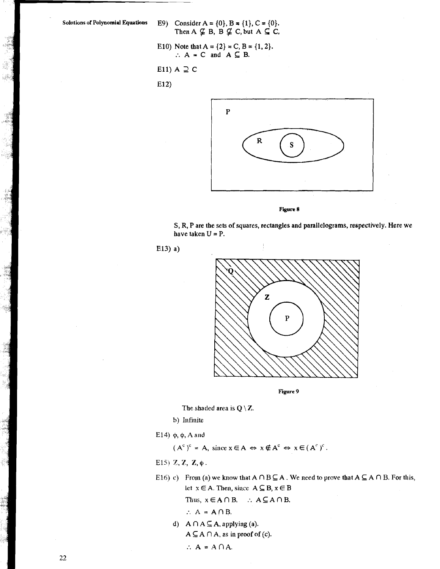i.

- Solutions of Polynomial Equations **E9**) Consider  $A = \{0\}$ ,  $B = \{1\}$ ,  $C = \{0\}$ . Then  $A \nsubseteq B$ ,  $B \nsubseteq C$ , but  $A \subseteq C$ ,
	- E10) Note that  $A = \{2\} = C$ ,  $B = \{1, 2\}$ . :.  $A = C$  and  $A \subseteq B$ .
	- E11)  $A \supseteq C$

E12)





S, R, P are the sets of squares, rectangles and parallelograms, respectively. Here **we**  have taken  $U = P$ .





**Figure 9** 

The shaded area is  $Q \setminus Z$ .

**b**) Infinite

E14)  $\phi$ ,  $\phi$ , A and

 $(A^{c})^{c} = A$ , since  $x \in A \Leftrightarrow x \notin A^{c} \Leftrightarrow x \in (A^{c})^{c}$ .

E15) Z, Z, Z,  $\phi$ .

E16) c) From (a) we know that  $A \cap B \subseteq A$ . We need to prove that  $A \subseteq A \cap B$ . For this, let  $x \in A$ . Then, since  $A \subseteq B$ ,  $x \in B$ Thus,  $x \in A \cap B$ .  $\therefore A \subseteq A \cap B$ .

$$
\therefore A = A \cap B.
$$

**d**)  $A \cap A \subseteq A$ , applying (a).  $A \subseteq A \cap A$ , as in proof of  $(c)$ .

 $\therefore$  **A** = **A** $\cap$ **A**.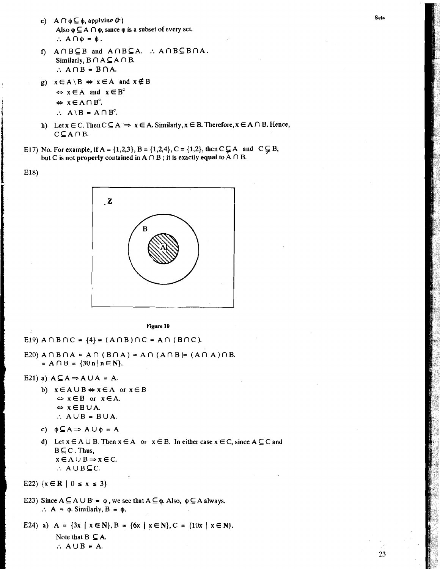- e)  $A \cap \phi \subseteq \phi$ , applying  $(\mathcal{F})$ Also  $\phi \subseteq A \cap \phi$ , since  $\phi$  is a subset of every set.  $\therefore$  A  $\cap$   $\phi$  =  $\phi$ .
- f)  $A \cap B \subseteq B$  and  $A \cap B \subseteq A$ . :  $A \cap B \subseteq B \cap A$ . Similarly,  $B \cap A \subseteq A \cap B$ .  $\therefore$  A  $\cap$  B = B  $\cap$  A.
- g)  $x \in A \backslash B \Leftrightarrow x \in A$  and  $x \notin B$

 $\Leftrightarrow$   $x \in A$  and  $x \in B^c$ 

 $\Leftrightarrow$   $x \in A \cap B^c$ .

 $E18$ 

 $\therefore$  A \ B = A \ D<sup>c</sup>.

- h) Let  $x \in C$ . Then  $C \subseteq A \Rightarrow x \in A$ . Similarly,  $x \in B$ . Therefore,  $x \in A \cap B$ . Hence,  $C \subseteq A \cap B$ .
- E17) No. For example, if A = {1,2,3}, B = {1,2,4}, C = {1,2}, then C  $\subsetneq$  A and C  $\subsetneq$  B, but C is not properly contained in  $A \cap B$ ; it is exactly equal to  $A \cap B$ .



Figure 10

- E19)  $A \cap B \cap C = \{4\} = (A \cap B) \cap C = A \cap (B \cap C)$ .
- E20)  $A \cap B \cap A = A \cap (B \cap A) = A \cap (A \cap B) = (A \cap A) \cap B$ . =  $A \cap B$  = {30 n | n  $\in$  N}.
- E21) a)  $A \subseteq A \Rightarrow A \cup A = A$ .
	- b)  $x \in A \cup B \Leftrightarrow x \in A$  or  $x \in B$  $\Leftrightarrow$   $x \in B$  or  $x \in A$ .  $\Leftrightarrow$   $x \in B \cup A$ .  $\therefore$  AUB = BUA.
	- c)  $\phi \subseteq A \Rightarrow A \cup \phi = A$
	- d) Let  $x \in A \cup B$ . Then  $x \in A$  or  $x \in B$ . In either case  $x \in C$ , since  $A \subseteq C$  and  $B \subseteq C$ . Thus,  $x \in A \cup B \Rightarrow x \in C.$  $\therefore$  A U B  $\subseteq$  C.

E22)  $\{x \in \mathbb{R} \mid 0 \le x \le 3\}$ 

E23) Since  $A \subseteq A \cup B = \varphi$ , we see that  $A \subseteq \varphi$ . Also,  $\varphi \subseteq A$  always.  $\therefore$  A =  $\phi$ . Similarly, B =  $\phi$ .

E24) a) A = {3x | x  $\in$  N}, B = {6x | x  $\in$  N}, C = {10x | x  $\in$  N}. Note that  $B \subseteq A$ .  $\therefore$  A  $\cup$  B = A.